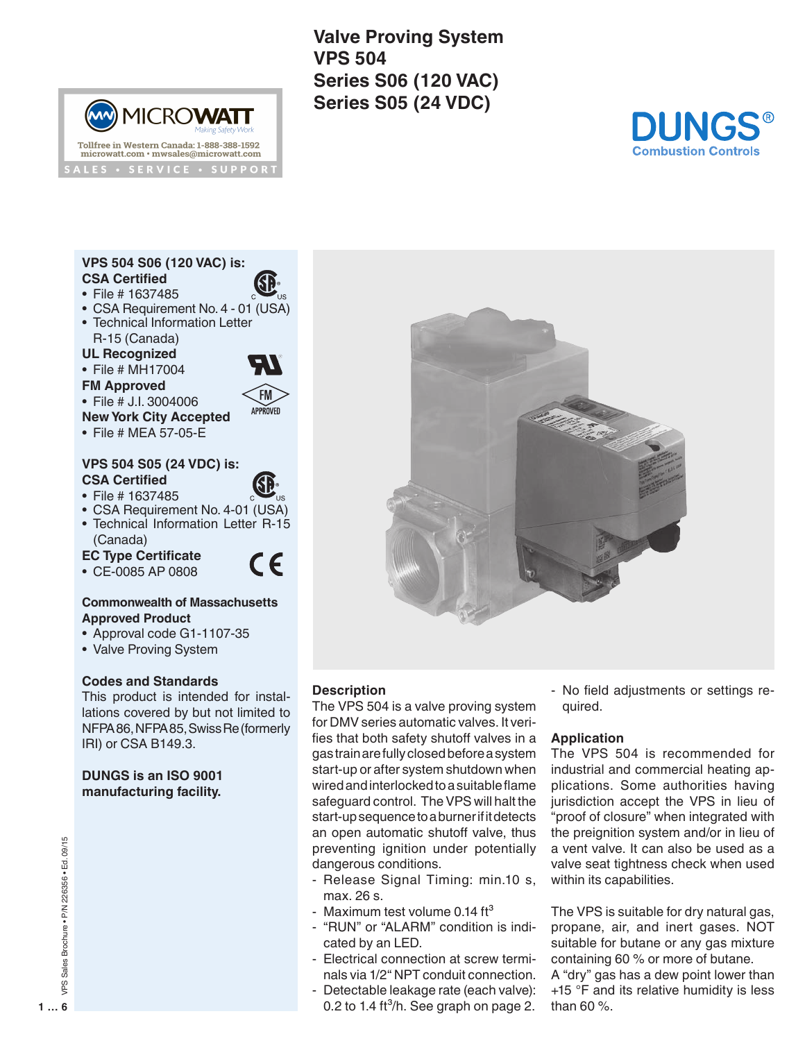**Valve Proving System VPS 504 Series S06 (120 VAC) Series S05 (24 VDC)**



## **VPS 504 S06 (120 VAC) is: CSA Certified**

• File # 1637485

(MN)

• CSA Requirement No. 4 - 01 (USA)

**MICROWATT** 

Tollfree in Western Canada: 1-888-388-1592

microwatt.com · mwsales@microwatt.com **ALES • SERVICE • SUPPORT** 

- Technical Information Letter R-15 (Canada)
- **UL Recognized**
- File # MH17004



- File # J.I. 3004006
- **New York City Accepted**
- File # MEA 57-05-E

#### **VPS 504 S05 (24 VDC) is: CSA Certified**

- File # 1637485
- CSA Requirement No. 4-01 (USA)
- Technical Information Letter R-15 (Canada)

#### **EC Type Certificate** • CE-0085 AP 0808



APPROVED

#### **Commonwealth of Massachusetts Approved Product**

- Approval code G1-1107-35
- Valve Proving System

## **Codes and Standards**

This product is intended for installations covered by but not limited to NFPA 86, NFPA 85, Swiss Re (formerly IRI) or CSA B149.3.

### **DUNGS is an ISO 9001 manufacturing facility.**



# **Description**

The VPS 504 is a valve proving system for DMV series automatic valves. It verifies that both safety shutoff valves in a gas train are fully closed before a system start-up or after system shutdown when wired and interlocked to a suitable flame safeguard control. The VPS will halt the start-up sequence to a burner if it detects an open automatic shutoff valve, thus preventing ignition under potentially dangerous conditions.

- Release Signal Timing: min.10 s, max. 26 s.
- Maximum test volume  $0.14$  ft<sup>3</sup>
- "RUN" or "ALARM" condition is indicated by an LED.
- Electrical connection at screw terminals via 1/2" NPT conduit connection.
- Detectable leakage rate (each valve): 0.2 to 1.4 ft $^3$ /h. See graph on page 2.

- No field adjustments or settings required.

## **Application**

The VPS 504 is recommended for industrial and commercial heating applications. Some authorities having jurisdiction accept the VPS in lieu of "proof of closure" when integrated with the preignition system and/or in lieu of a vent valve. It can also be used as a valve seat tightness check when used within its capabilities.

The VPS is suitable for dry natural gas, propane, air, and inert gases. NOT suitable for butane or any gas mixture containing 60 % or more of butane.

A "dry" gas has a dew point lower than +15 °F and its relative humidity is less than 60 %.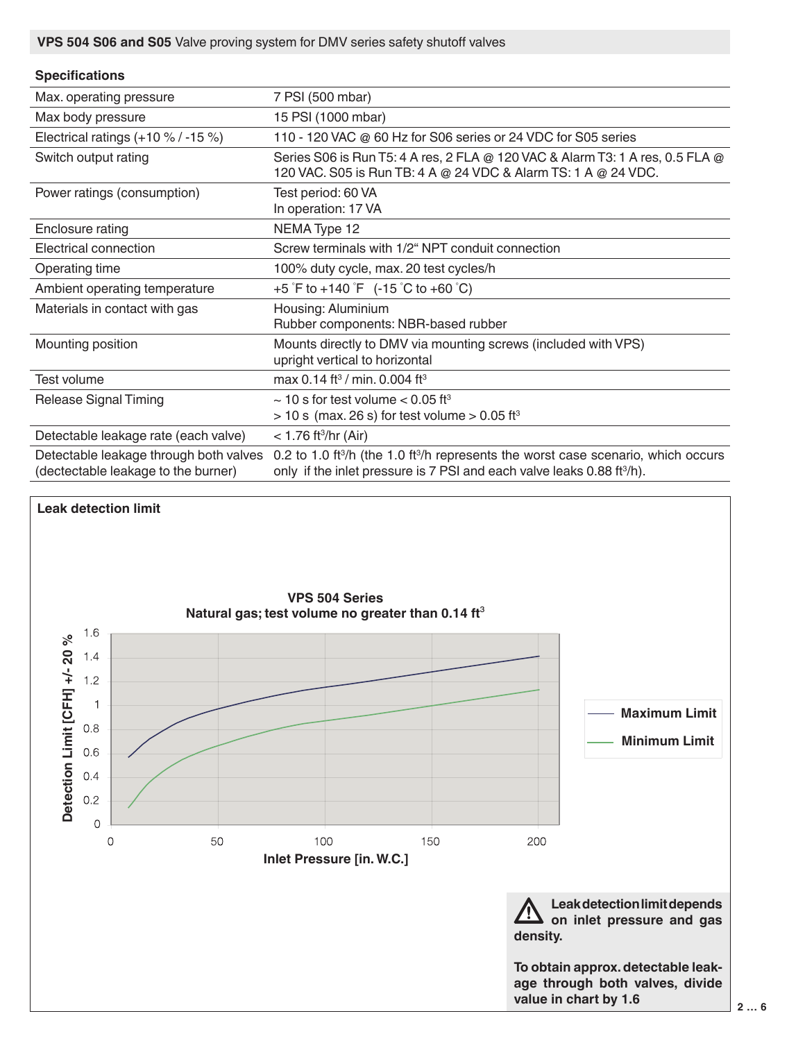**VPS 504 S06 and S05** Valve proving system for DMV series safety shutoff valves

## **Specifications**

| Max. operating pressure                                                       | 7 PSI (500 mbar)                                                                                                                                                                                 |
|-------------------------------------------------------------------------------|--------------------------------------------------------------------------------------------------------------------------------------------------------------------------------------------------|
| Max body pressure                                                             | 15 PSI (1000 mbar)                                                                                                                                                                               |
| Electrical ratings $(+10\% / -15\%)$                                          | 110 - 120 VAC @ 60 Hz for S06 series or 24 VDC for S05 series                                                                                                                                    |
| Switch output rating                                                          | Series S06 is Run T5: 4 A res, 2 FLA @ 120 VAC & Alarm T3: 1 A res, 0.5 FLA @<br>120 VAC. S05 is Run TB: 4 A @ 24 VDC & Alarm TS: 1 A @ 24 VDC.                                                  |
| Power ratings (consumption)                                                   | Test period: 60 VA<br>In operation: 17 VA                                                                                                                                                        |
| Enclosure rating                                                              | NEMA Type 12                                                                                                                                                                                     |
| Electrical connection                                                         | Screw terminals with 1/2" NPT conduit connection                                                                                                                                                 |
| Operating time                                                                | 100% duty cycle, max. 20 test cycles/h                                                                                                                                                           |
| Ambient operating temperature                                                 | +5 $\degree$ F to +140 $\degree$ F (-15 $\degree$ C to +60 $\degree$ C)                                                                                                                          |
| Materials in contact with gas                                                 | Housing: Aluminium<br>Rubber components: NBR-based rubber                                                                                                                                        |
| Mounting position                                                             | Mounts directly to DMV via mounting screws (included with VPS)<br>upright vertical to horizontal                                                                                                 |
| Test volume                                                                   | max 0.14 ft <sup>3</sup> / min. 0.004 ft <sup>3</sup>                                                                                                                                            |
| <b>Release Signal Timing</b>                                                  | $\sim$ 10 s for test volume $<$ 0.05 ft <sup>3</sup><br>$>$ 10 s (max. 26 s) for test volume $>$ 0.05 ft <sup>3</sup>                                                                            |
| Detectable leakage rate (each valve)                                          | $<$ 1.76 ft <sup>3</sup> /hr (Air)                                                                                                                                                               |
| Detectable leakage through both valves<br>(dectectable leakage to the burner) | 0.2 to 1.0 ft <sup>3</sup> /h (the 1.0 ft <sup>3</sup> /h represents the worst case scenario, which occurs<br>only if the inlet pressure is 7 PSI and each valve leaks 0.88 ft <sup>3</sup> /h). |

# **Leak detection limit**

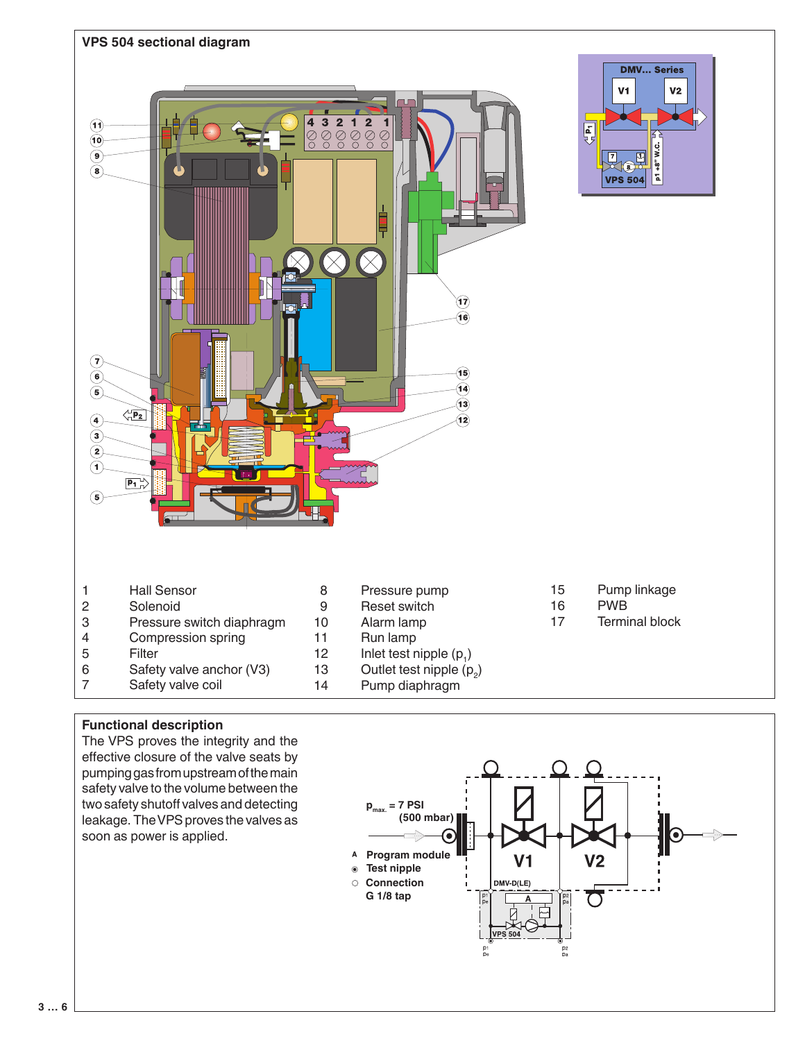

### **Functional description**

The VPS proves the integrity and the effective closure of the valve seats by pumping gas from upstream of the main safety valve to the volume between the two safety shutoff valves and detecting leakage. The VPS proves the valves as soon as power is applied.

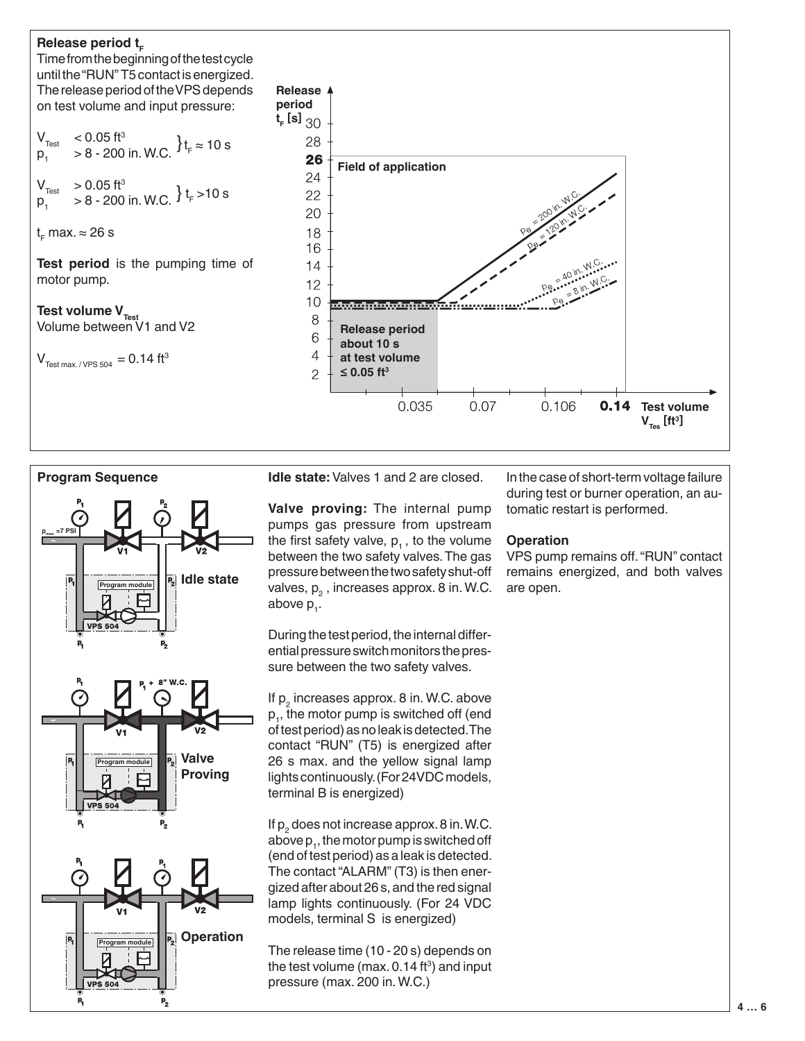





p,

**Idle state:** Valves 1 and 2 are closed.

**Valve proving:** The internal pump pumps gas pressure from upstream the first safety valve,  $p_1$ , to the volume between the two safety valves. The gas pressure between the two safety shut-off valves,  $p_{2}^{\prime}$  , increases approx. 8 in. W.C. above p<sub>1</sub>.

During the test period, the internal differential pressure switch monitors the pressure between the two safety valves.

If  $p_2$  increases approx. 8 in. W.C. above  ${\sf p}_1^{},$  the motor pump is switched off (end of test period) as no leak is detected. The contact "RUN" (T5) is energized after 26 s max. and the yellow signal lamp lights continuously. (For 24VDC models, terminal B is energized)

If  $p_2$  does not increase approx. 8 in. W.C. above  $p_{1}$ , the motor pump is switched off (end of test period) as a leak is detected. The contact "ALARM" (T3) is then energized after about 26 s, and the red signal lamp lights continuously. (For 24 VDC models, terminal S is energized)

The release time (10 - 20 s) depends on the test volume (max.  $0.14\,\mathrm{ft^3})$  and input pressure (max. 200 in. W.C.)

In the case of short-term voltage failure during test or burner operation, an automatic restart is performed.

#### **Operation**

VPS pump remains off. "RUN" contact remains energized, and both valves are open.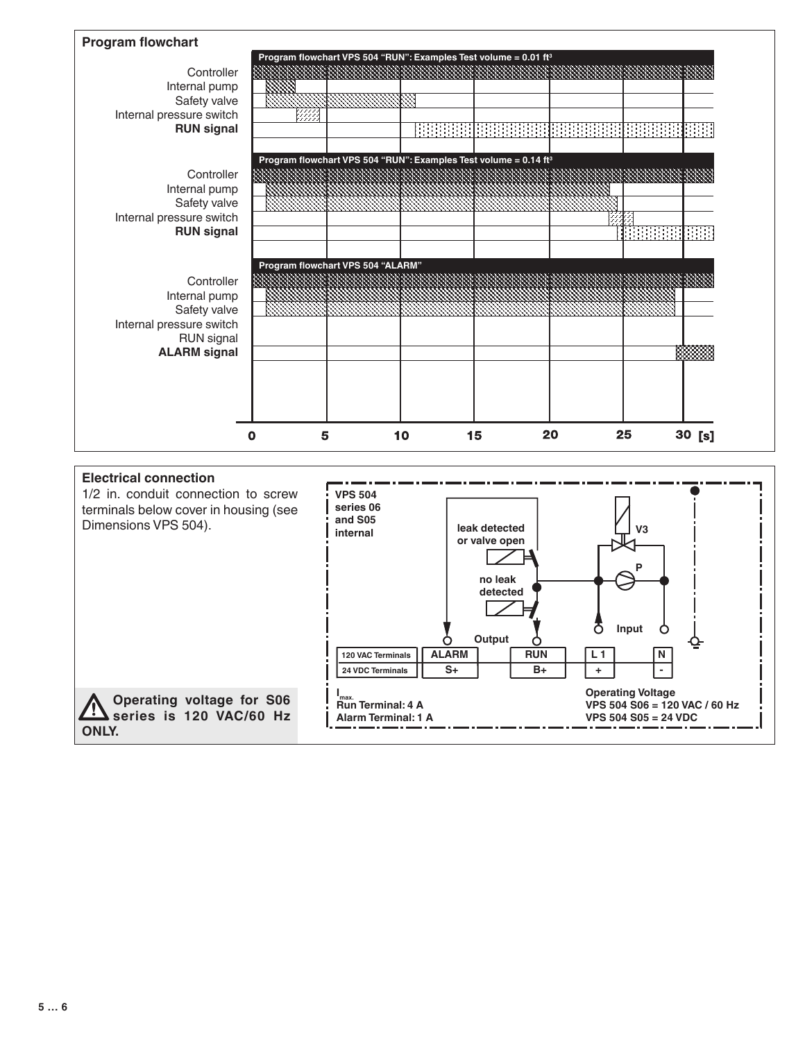